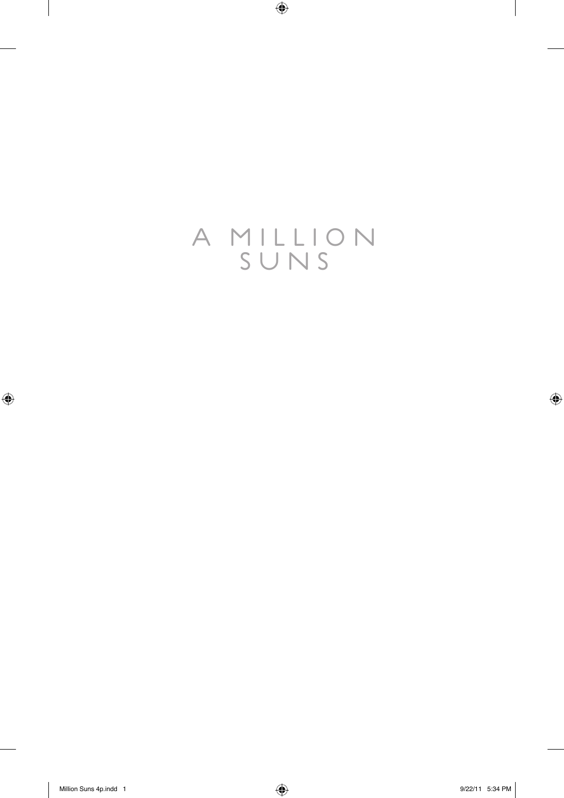### A MILLION suns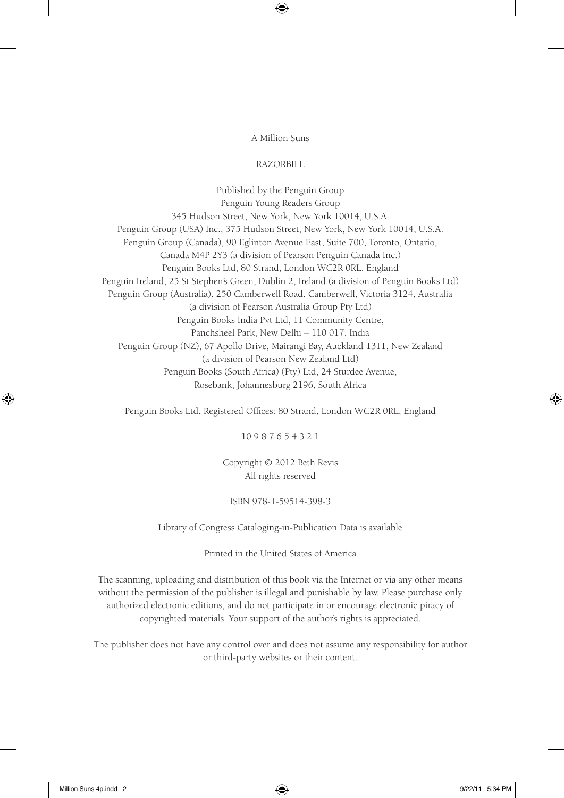### A Million Suns

#### RAZORBILL

Published by the Penguin Group Penguin Young Readers Group 345 Hudson Street, New York, New York 10014, U.S.A. Penguin Group (USA) Inc., 375 Hudson Street, New York, New York 10014, U.S.A. Penguin Group (Canada), 90 Eglinton Avenue East, Suite 700, Toronto, Ontario, Canada M4P 2Y3 (a division of Pearson Penguin Canada Inc.) Penguin Books Ltd, 80 Strand, London WC2R 0RL, England Penguin Ireland, 25 St Stephen's Green, Dublin 2, Ireland (a division of Penguin Books Ltd) Penguin Group (Australia), 250 Camberwell Road, Camberwell, Victoria 3124, Australia (a division of Pearson Australia Group Pty Ltd) Penguin Books India Pvt Ltd, 11 Community Centre, Panchsheel Park, New Delhi – 110 017, India Penguin Group (NZ), 67 Apollo Drive, Mairangi Bay, Auckland 1311, New Zealand (a division of Pearson New Zealand Ltd) Penguin Books (South Africa) (Pty) Ltd, 24 Sturdee Avenue, Rosebank, Johannesburg 2196, South Africa

Penguin Books Ltd, Registered Offices: 80 Strand, London WC2R 0RL, England

10 9 8 7 6 5 4 3 2 1

Copyright © 2012 Beth Revis All rights reserved

#### ISBN 978-1-59514-398-3

Library of Congress Cataloging-in-Publication Data is available

Printed in the United States of America

The scanning, uploading and distribution of this book via the Internet or via any other means without the permission of the publisher is illegal and punishable by law. Please purchase only authorized electronic editions, and do not participate in or encourage electronic piracy of copyrighted materials. Your support of the author's rights is appreciated.

The publisher does not have any control over and does not assume any responsibility for author or third-party websites or their content.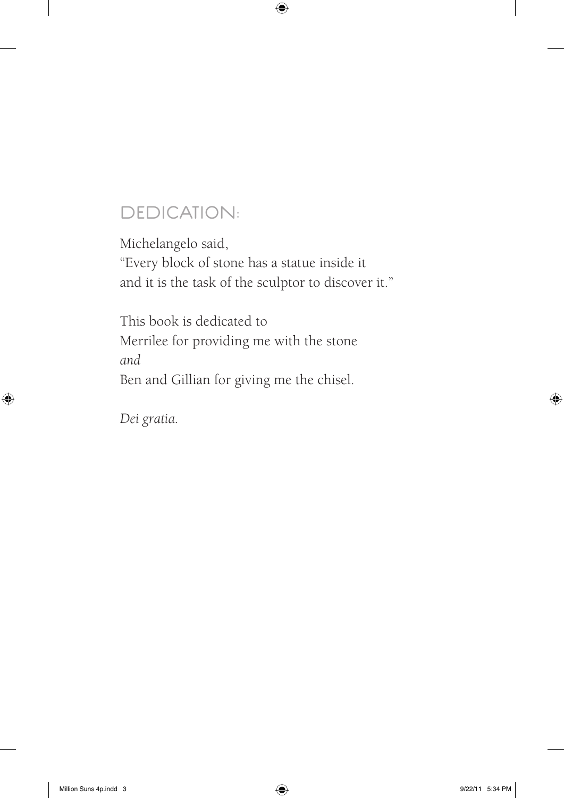### DEDICATION:

Michelangelo said, "Every block of stone has a statue inside it and it is the task of the sculptor to discover it."

This book is dedicated to Merrilee for providing me with the stone *and* Ben and Gillian for giving me the chisel.

*Dei gratia.*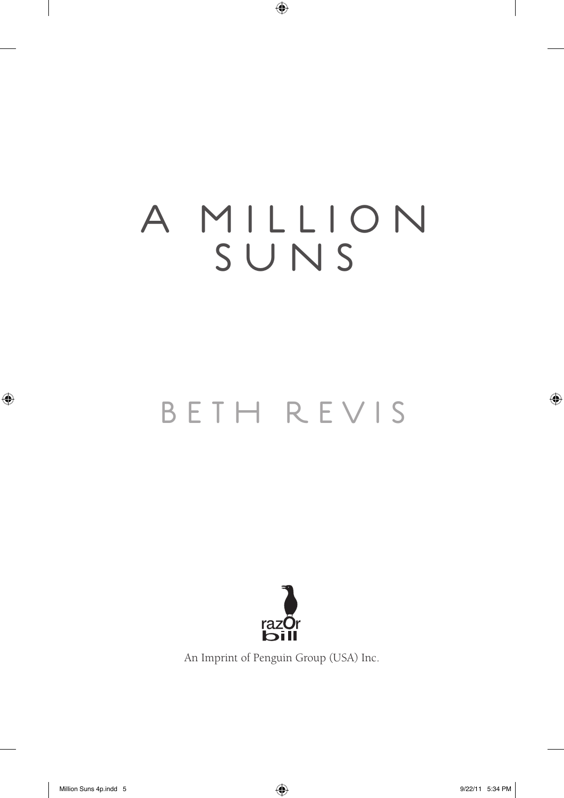# A MILLION suns

## B ETH R EVIS



An Imprint of Penguin Group (USA) Inc.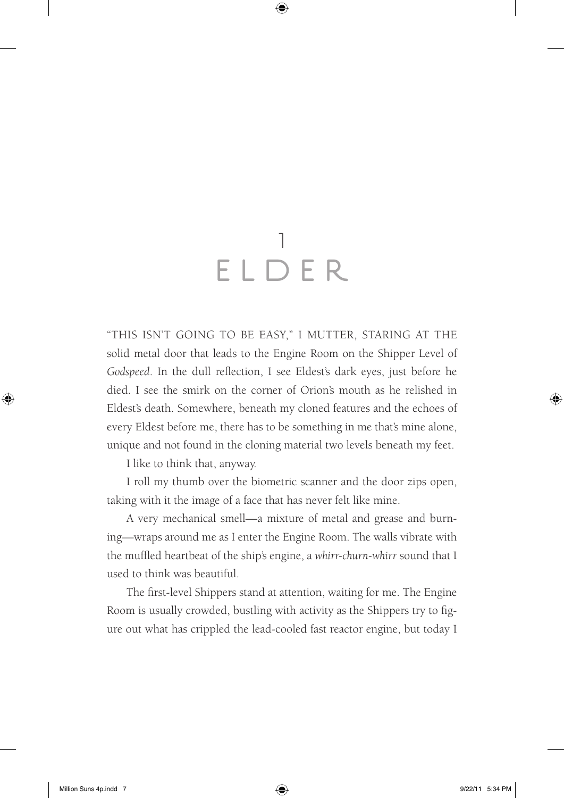## 1 E L DER

"This isn't going to be easy," I mutter, staring at the solid metal door that leads to the Engine Room on the Shipper Level of *Godspeed*. In the dull reflection, I see Eldest's dark eyes, just before he died. I see the smirk on the corner of Orion's mouth as he relished in Eldest's death. Somewhere, beneath my cloned features and the echoes of every Eldest before me, there has to be something in me that's mine alone, unique and not found in the cloning material two levels beneath my feet.

I like to think that, anyway.

I roll my thumb over the biometric scanner and the door zips open, taking with it the image of a face that has never felt like mine.

A very mechanical smell—a mixture of metal and grease and burning—wraps around me as I enter the Engine Room. The walls vibrate with the muffled heartbeat of the ship's engine, a *whirr-churn-whirr* sound that I used to think was beautiful.

The first-level Shippers stand at attention, waiting for me. The Engine Room is usually crowded, bustling with activity as the Shippers try to figure out what has crippled the lead-cooled fast reactor engine, but today I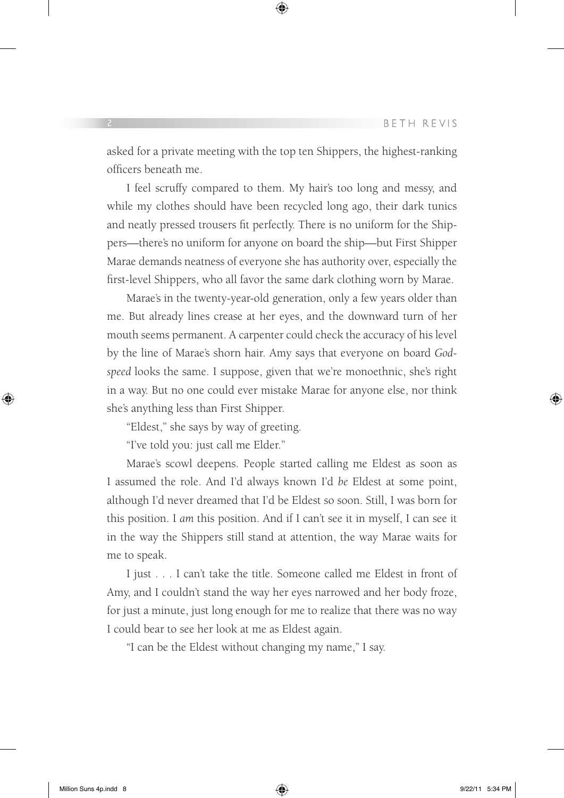asked for a private meeting with the top ten Shippers, the highest-ranking officers beneath me.

I feel scruffy compared to them. My hair's too long and messy, and while my clothes should have been recycled long ago, their dark tunics and neatly pressed trousers fit perfectly. There is no uniform for the Shippers—there's no uniform for anyone on board the ship—but First Shipper Marae demands neatness of everyone she has authority over, especially the first-level Shippers, who all favor the same dark clothing worn by Marae.

Marae's in the twenty-year-old generation, only a few years older than me. But already lines crease at her eyes, and the downward turn of her mouth seems permanent. A carpenter could check the accuracy of his level by the line of Marae's shorn hair. Amy says that everyone on board *Godspeed* looks the same. I suppose, given that we're monoethnic, she's right in a way. But no one could ever mistake Marae for anyone else, nor think she's anything less than First Shipper.

"Eldest," she says by way of greeting.

"I've told you: just call me Elder."

Marae's scowl deepens. People started calling me Eldest as soon as I assumed the role. And I'd always known I'd *be* Eldest at some point, although I'd never dreamed that I'd be Eldest so soon. Still, I was born for this position. I *am* this position. And if I can't see it in myself, I can see it in the way the Shippers still stand at attention, the way Marae waits for me to speak.

I just . . . I can't take the title. Someone called me Eldest in front of Amy, and I couldn't stand the way her eyes narrowed and her body froze, for just a minute, just long enough for me to realize that there was no way I could bear to see her look at me as Eldest again.

"I can be the Eldest without changing my name," I say.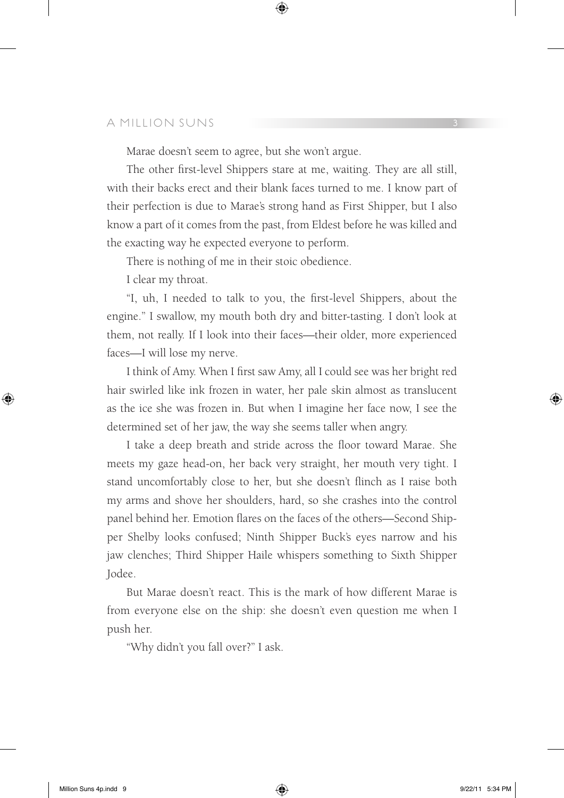### A MILLION SUNS

Marae doesn't seem to agree, but she won't argue.

The other first-level Shippers stare at me, waiting. They are all still, with their backs erect and their blank faces turned to me. I know part of their perfection is due to Marae's strong hand as First Shipper, but I also know a part of it comes from the past, from Eldest before he was killed and the exacting way he expected everyone to perform.

There is nothing of me in their stoic obedience.

I clear my throat.

"I, uh, I needed to talk to you, the first-level Shippers, about the engine." I swallow, my mouth both dry and bitter-tasting. I don't look at them, not really. If I look into their faces—their older, more experienced faces—I will lose my nerve.

I think of Amy. When I first saw Amy, all I could see was her bright red hair swirled like ink frozen in water, her pale skin almost as translucent as the ice she was frozen in. But when I imagine her face now, I see the determined set of her jaw, the way she seems taller when angry.

I take a deep breath and stride across the floor toward Marae. She meets my gaze head-on, her back very straight, her mouth very tight. I stand uncomfortably close to her, but she doesn't flinch as I raise both my arms and shove her shoulders, hard, so she crashes into the control panel behind her. Emotion flares on the faces of the others—Second Shipper Shelby looks confused; Ninth Shipper Buck's eyes narrow and his jaw clenches; Third Shipper Haile whispers something to Sixth Shipper Jodee.

But Marae doesn't react. This is the mark of how different Marae is from everyone else on the ship: she doesn't even question me when I push her.

"Why didn't you fall over?" I ask.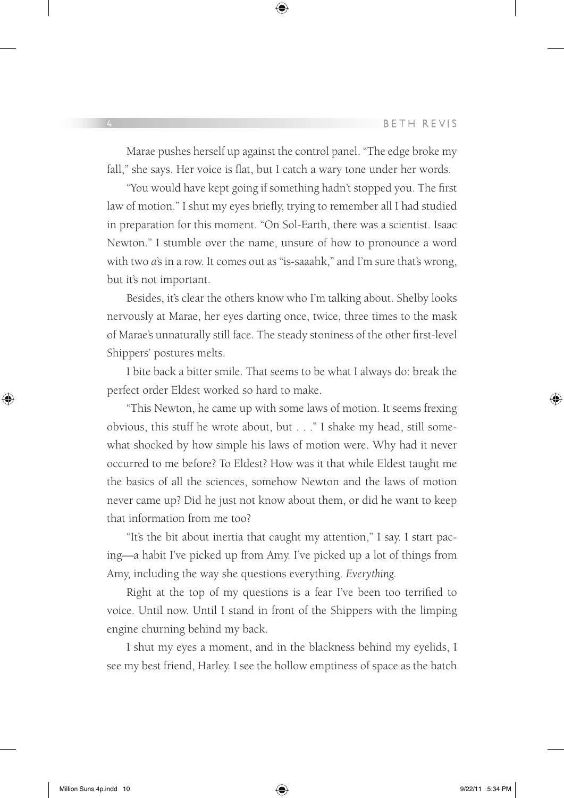Marae pushes herself up against the control panel. "The edge broke my fall," she says. Her voice is flat, but I catch a wary tone under her words.

"You would have kept going if something hadn't stopped you. The first law of motion." I shut my eyes briefly, trying to remember all I had studied in preparation for this moment. "On Sol-Earth, there was a scientist. Isaac Newton." I stumble over the name, unsure of how to pronounce a word with two *a*'s in a row. It comes out as "is-saaahk," and I'm sure that's wrong, but it's not important.

Besides, it's clear the others know who I'm talking about. Shelby looks nervously at Marae, her eyes darting once, twice, three times to the mask of Marae's unnaturally still face. The steady stoniness of the other first-level Shippers' postures melts.

I bite back a bitter smile. That seems to be what I always do: break the perfect order Eldest worked so hard to make.

"This Newton, he came up with some laws of motion. It seems frexing obvious, this stuff he wrote about, but . . ." I shake my head, still somewhat shocked by how simple his laws of motion were. Why had it never occurred to me before? To Eldest? How was it that while Eldest taught me the basics of all the sciences, somehow Newton and the laws of motion never came up? Did he just not know about them, or did he want to keep that information from me too?

"It's the bit about inertia that caught my attention," I say. I start pacing—a habit I've picked up from Amy. I've picked up a lot of things from Amy, including the way she questions everything. *Everything.*

Right at the top of my questions is a fear I've been too terrified to voice. Until now. Until I stand in front of the Shippers with the limping engine churning behind my back.

I shut my eyes a moment, and in the blackness behind my eyelids, I see my best friend, Harley. I see the hollow emptiness of space as the hatch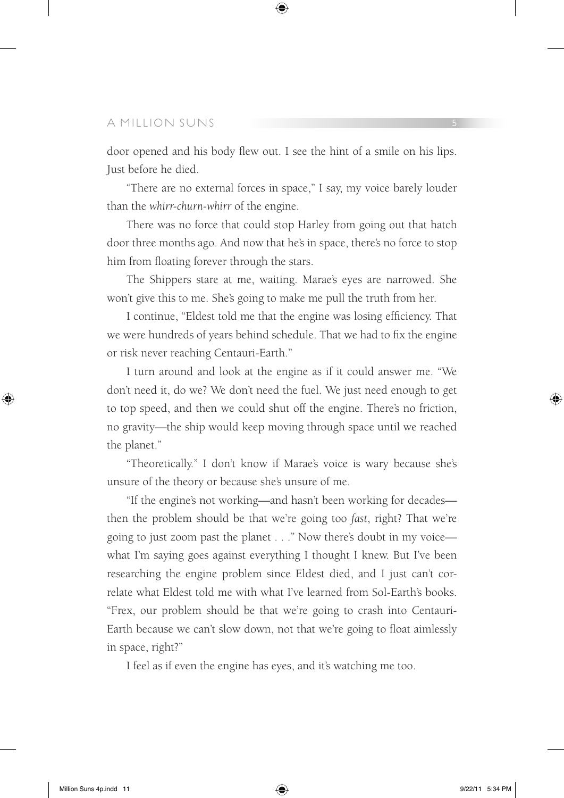### A MILLION SUNS

door opened and his body flew out. I see the hint of a smile on his lips. Just before he died.

"There are no external forces in space," I say, my voice barely louder than the *whirr-churn-whirr* of the engine.

There was no force that could stop Harley from going out that hatch door three months ago. And now that he's in space, there's no force to stop him from floating forever through the stars.

The Shippers stare at me, waiting. Marae's eyes are narrowed. She won't give this to me. She's going to make me pull the truth from her.

I continue, "Eldest told me that the engine was losing efficiency. That we were hundreds of years behind schedule. That we had to fix the engine or risk never reaching Centauri-Earth."

I turn around and look at the engine as if it could answer me. "We don't need it, do we? We don't need the fuel. We just need enough to get to top speed, and then we could shut off the engine. There's no friction, no gravity—the ship would keep moving through space until we reached the planet."

"Theoretically." I don't know if Marae's voice is wary because she's unsure of the theory or because she's unsure of me.

"If the engine's not working—and hasn't been working for decades then the problem should be that we're going too *fast*, right? That we're going to just zoom past the planet . . ." Now there's doubt in my voice what I'm saying goes against everything I thought I knew. But I've been researching the engine problem since Eldest died, and I just can't correlate what Eldest told me with what I've learned from Sol-Earth's books. "Frex, our problem should be that we're going to crash into Centauri-Earth because we can't slow down, not that we're going to float aimlessly in space, right?"

I feel as if even the engine has eyes, and it's watching me too.